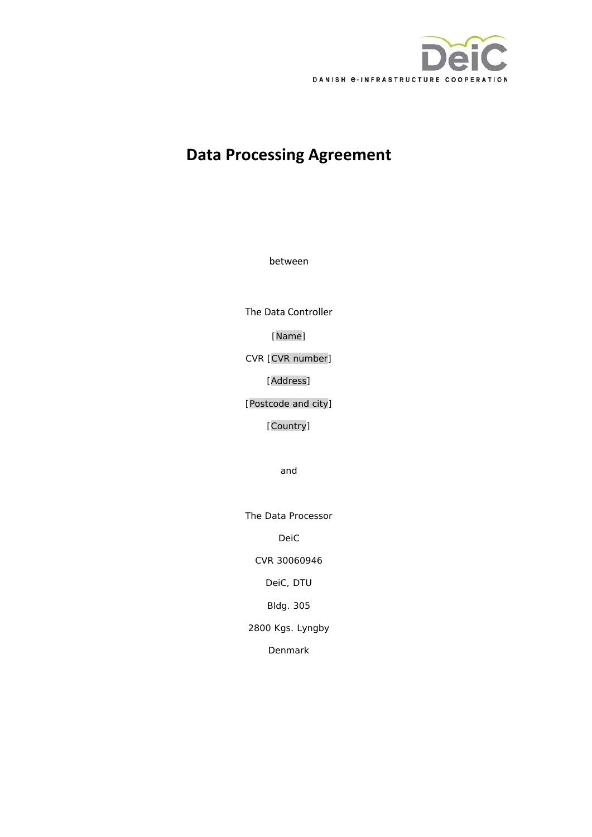

# **Data Processing Agreement**

between

The Data Controller

[Name]

CVR [CVR number]

[Address]

[Postcode and city]

[Country]

and

The Data Processor

DeiC

CVR 30060946

DeiC, DTU

Bldg. 305

2800 Kgs. Lyngby

Denmark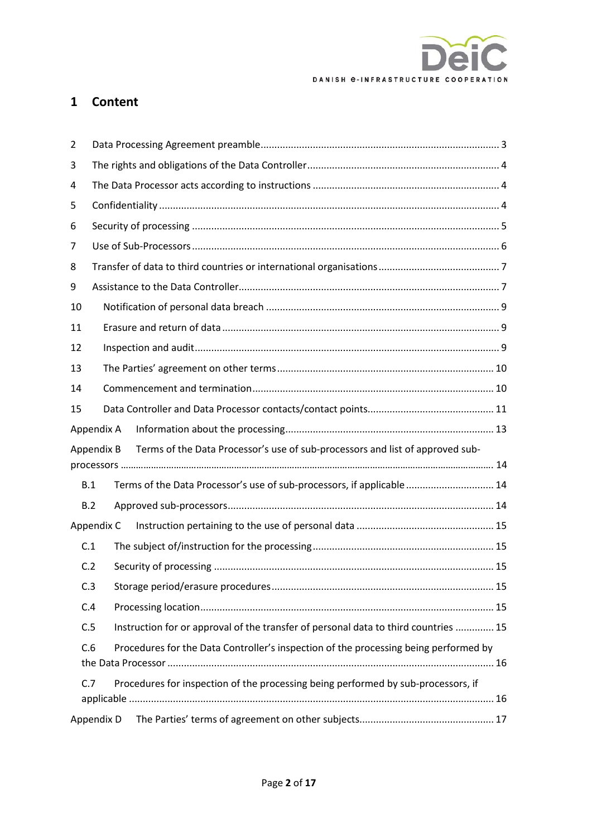

## **1 Content**

| 2   |                                                                                             |  |  |  |  |
|-----|---------------------------------------------------------------------------------------------|--|--|--|--|
| 3   |                                                                                             |  |  |  |  |
| 4   |                                                                                             |  |  |  |  |
| 5   |                                                                                             |  |  |  |  |
| 6   |                                                                                             |  |  |  |  |
| 7   |                                                                                             |  |  |  |  |
| 8   |                                                                                             |  |  |  |  |
| 9   |                                                                                             |  |  |  |  |
| 10  |                                                                                             |  |  |  |  |
| 11  |                                                                                             |  |  |  |  |
| 12  |                                                                                             |  |  |  |  |
| 13  |                                                                                             |  |  |  |  |
| 14  |                                                                                             |  |  |  |  |
| 15  |                                                                                             |  |  |  |  |
|     | Appendix A                                                                                  |  |  |  |  |
|     | Terms of the Data Processor's use of sub-processors and list of approved sub-<br>Appendix B |  |  |  |  |
|     |                                                                                             |  |  |  |  |
|     | Terms of the Data Processor's use of sub-processors, if applicable  14<br>B.1               |  |  |  |  |
|     | B.2                                                                                         |  |  |  |  |
|     | Appendix C                                                                                  |  |  |  |  |
| C.1 |                                                                                             |  |  |  |  |
|     | C.2                                                                                         |  |  |  |  |
|     | C.3                                                                                         |  |  |  |  |
|     | C.4                                                                                         |  |  |  |  |
|     | Instruction for or approval of the transfer of personal data to third countries  15<br>C.5  |  |  |  |  |
|     | Procedures for the Data Controller's inspection of the processing being performed by<br>C.6 |  |  |  |  |
|     |                                                                                             |  |  |  |  |
|     | Procedures for inspection of the processing being performed by sub-processors, if<br>C.7    |  |  |  |  |
|     |                                                                                             |  |  |  |  |
|     | Appendix D                                                                                  |  |  |  |  |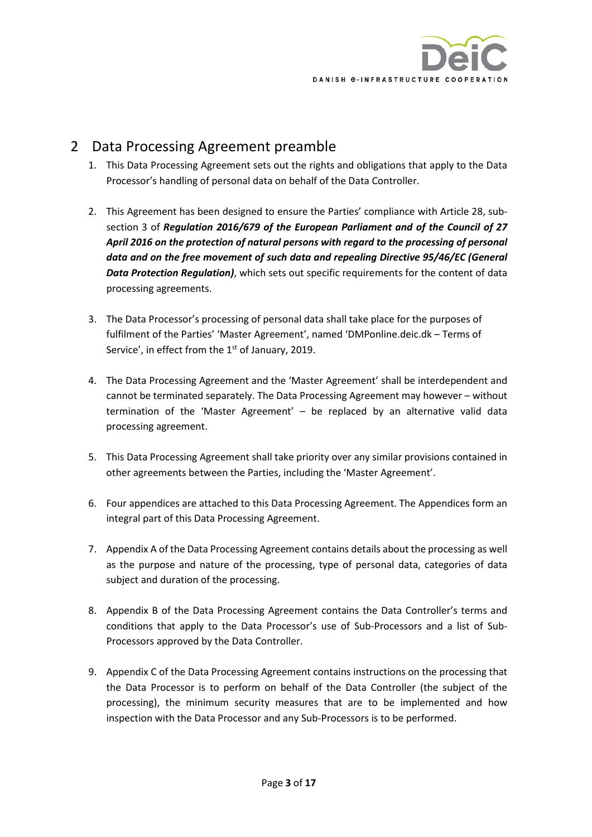

# <span id="page-2-0"></span>2 Data Processing Agreement preamble

- 1. This Data Processing Agreement sets out the rights and obligations that apply to the Data Processor's handling of personal data on behalf of the Data Controller.
- 2. This Agreement has been designed to ensure the Parties' compliance with Article 28, subsection 3 of *Regulation 2016/679 of the European Parliament and of the Council of 27 April 2016 on the protection of natural persons with regard to the processing of personal data and on the free movement of such data and repealing Directive 95/46/EC (General Data Protection Regulation)*, which sets out specific requirements for the content of data processing agreements.
- 3. The Data Processor's processing of personal data shall take place for the purposes of fulfilment of the Parties' 'Master Agreement', named 'DMPonline.deic.dk – Terms of Service', in effect from the  $1<sup>st</sup>$  of January, 2019.
- 4. The Data Processing Agreement and the 'Master Agreement' shall be interdependent and cannot be terminated separately. The Data Processing Agreement may however – without termination of the 'Master Agreement' – be replaced by an alternative valid data processing agreement.
- 5. This Data Processing Agreement shall take priority over any similar provisions contained in other agreements between the Parties, including the 'Master Agreement'.
- 6. Four appendices are attached to this Data Processing Agreement. The Appendices form an integral part of this Data Processing Agreement.
- 7. [Appendix A](#page-12-0) of the Data Processing Agreement contains details about the processing as well as the purpose and nature of the processing, type of personal data, categories of data subject and duration of the processing.
- 8. [Appendix B](#page-13-0) of the Data Processing Agreement contains the Data Controller's terms and conditions that apply to the Data Processor's use of Sub-Processors and a list of Sub-Processors approved by the Data Controller.
- 9. [Appendix C](#page-14-0) of the Data Processing Agreement contains instructions on the processing that the Data Processor is to perform on behalf of the Data Controller (the subject of the processing), the minimum security measures that are to be implemented and how inspection with the Data Processor and any Sub-Processors is to be performed.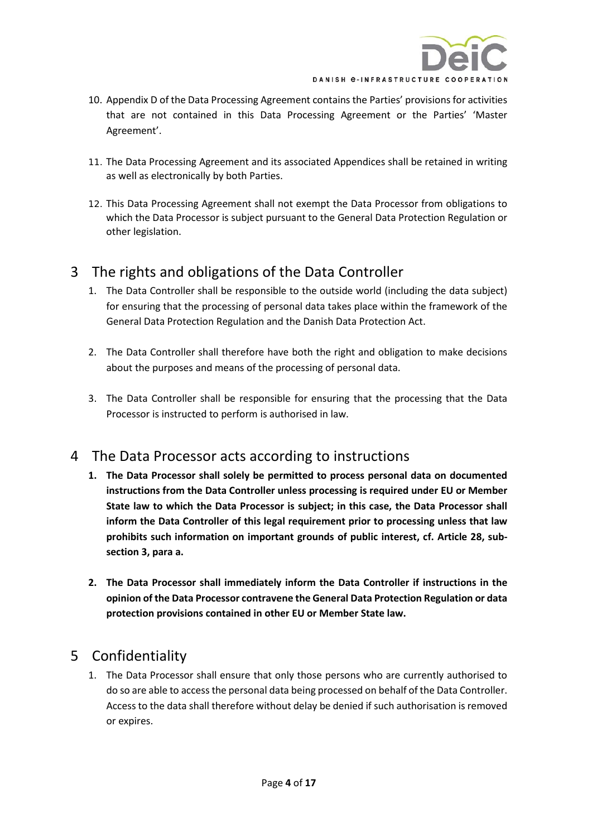

- 10. [Appendix D](#page-16-0) of the Data Processing Agreement contains the Parties' provisions for activities that are not contained in this Data Processing Agreement or the Parties' 'Master Agreement'.
- 11. The Data Processing Agreement and its associated Appendices shall be retained in writing as well as electronically by both Parties.
- 12. This Data Processing Agreement shall not exempt the Data Processor from obligations to which the Data Processor is subject pursuant to the General Data Protection Regulation or other legislation.

## <span id="page-3-0"></span>3 The rights and obligations of the Data Controller

- 1. The Data Controller shall be responsible to the outside world (including the data subject) for ensuring that the processing of personal data takes place within the framework of the General Data Protection Regulation and the Danish Data Protection Act.
- 2. The Data Controller shall therefore have both the right and obligation to make decisions about the purposes and means of the processing of personal data.
- 3. The Data Controller shall be responsible for ensuring that the processing that the Data Processor is instructed to perform is authorised in law.

## <span id="page-3-1"></span>4 The Data Processor acts according to instructions

- **1. The Data Processor shall solely be permitted to process personal data on documented instructions from the Data Controller unless processing is required under EU or Member State law to which the Data Processor is subject; in this case, the Data Processor shall inform the Data Controller of this legal requirement prior to processing unless that law prohibits such information on important grounds of public interest, cf. Article 28, subsection 3, para a.**
- **2. The Data Processor shall immediately inform the Data Controller if instructions in the opinion of the Data Processor contravene the General Data Protection Regulation or data protection provisions contained in other EU or Member State law.**

# <span id="page-3-2"></span>5 Confidentiality

1. The Data Processor shall ensure that only those persons who are currently authorised to do so are able to access the personal data being processed on behalf of the Data Controller. Access to the data shall therefore without delay be denied if such authorisation is removed or expires.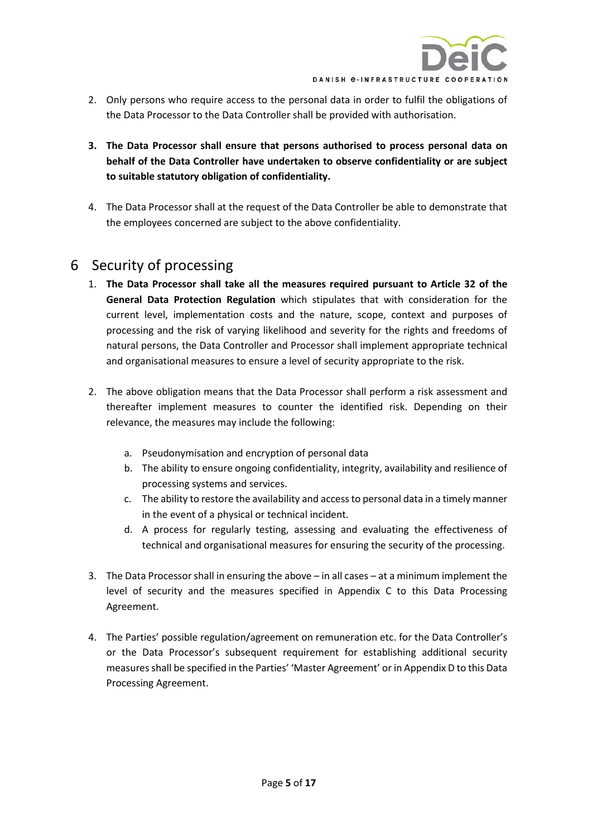

- 2. Only persons who require access to the personal data in order to fulfil the obligations of the Data Processor to the Data Controller shall be provided with authorisation.
- **3. The Data Processor shall ensure that persons authorised to process personal data on behalf of the Data Controller have undertaken to observe confidentiality or are subject to suitable statutory obligation of confidentiality.**
- 4. The Data Processor shall at the request of the Data Controller be able to demonstrate that the employees concerned are subject to the above confidentiality.

# <span id="page-4-0"></span>6 Security of processing

- 1. **The Data Processor shall take all the measures required pursuant to Article 32 of the General Data Protection Regulation** which stipulates that with consideration for the current level, implementation costs and the nature, scope, context and purposes of processing and the risk of varying likelihood and severity for the rights and freedoms of natural persons, the Data Controller and Processor shall implement appropriate technical and organisational measures to ensure a level of security appropriate to the risk.
- 2. The above obligation means that the Data Processor shall perform a risk assessment and thereafter implement measures to counter the identified risk. Depending on their relevance, the measures may include the following:
	- a. Pseudonymisation and encryption of personal data
	- b. The ability to ensure ongoing confidentiality, integrity, availability and resilience of processing systems and services.
	- c. The ability to restore the availability and access to personal data in a timely manner in the event of a physical or technical incident.
	- d. A process for regularly testing, assessing and evaluating the effectiveness of technical and organisational measures for ensuring the security of the processing.
- 3. The Data Processor shall in ensuring the above in all cases at a minimum implement the level of security and the measures specified in Appendix C to this Data Processing Agreement.
- 4. The Parties' possible regulation/agreement on remuneration etc. for the Data Controller's or the Data Processor's subsequent requirement for establishing additional security measures shall be specified in the Parties' 'Master Agreement' or in Appendix D to this Data Processing Agreement.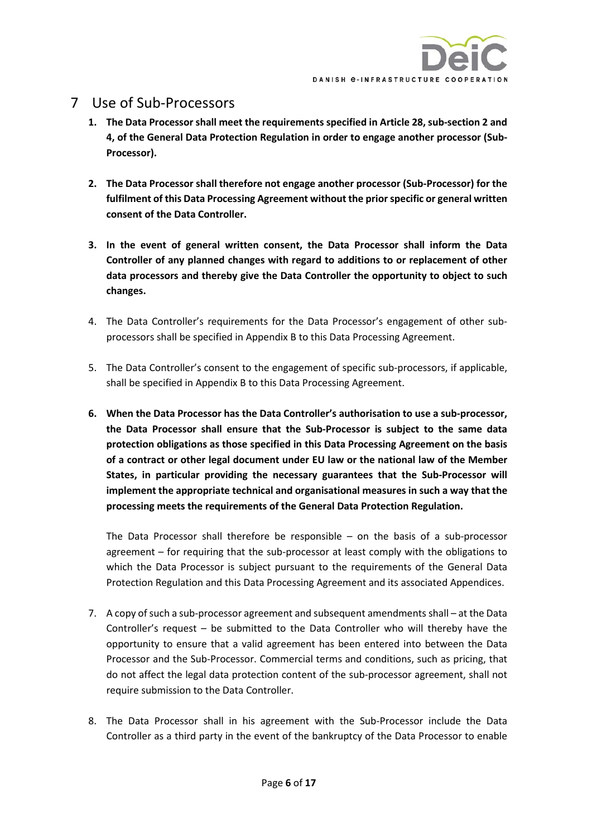## <span id="page-5-0"></span>7 Use of Sub-Processors

- **1. The Data Processor shall meet the requirements specified in Article 28, sub-section 2 and 4, of the General Data Protection Regulation in order to engage another processor (Sub-Processor).**
- **2. The Data Processor shall therefore not engage another processor (Sub-Processor) for the fulfilment of this Data Processing Agreement without the prior specific or general written consent of the Data Controller.**
- **3. In the event of general written consent, the Data Processor shall inform the Data Controller of any planned changes with regard to additions to or replacement of other data processors and thereby give the Data Controller the opportunity to object to such changes.**
- 4. The Data Controller's requirements for the Data Processor's engagement of other subprocessors shall be specified in [Appendix B](#page-13-0) to this Data Processing Agreement.
- 5. The Data Controller's consent to the engagement of specific sub-processors, if applicable, shall be specified i[n Appendix B](#page-13-0) to this Data Processing Agreement.
- **6. When the Data Processor has the Data Controller's authorisation to use a sub-processor, the Data Processor shall ensure that the Sub-Processor is subject to the same data protection obligations as those specified in this Data Processing Agreement on the basis of a contract or other legal document under EU law or the national law of the Member States, in particular providing the necessary guarantees that the Sub-Processor will implement the appropriate technical and organisational measures in such a way that the processing meets the requirements of the General Data Protection Regulation.**

The Data Processor shall therefore be responsible – on the basis of a sub-processor agreement – for requiring that the sub-processor at least comply with the obligations to which the Data Processor is subject pursuant to the requirements of the General Data Protection Regulation and this Data Processing Agreement and its associated Appendices.

- 7. A copy of such a sub-processor agreement and subsequent amendments shall at the Data Controller's request – be submitted to the Data Controller who will thereby have the opportunity to ensure that a valid agreement has been entered into between the Data Processor and the Sub-Processor. Commercial terms and conditions, such as pricing, that do not affect the legal data protection content of the sub-processor agreement, shall not require submission to the Data Controller.
- 8. The Data Processor shall in his agreement with the Sub-Processor include the Data Controller as a third party in the event of the bankruptcy of the Data Processor to enable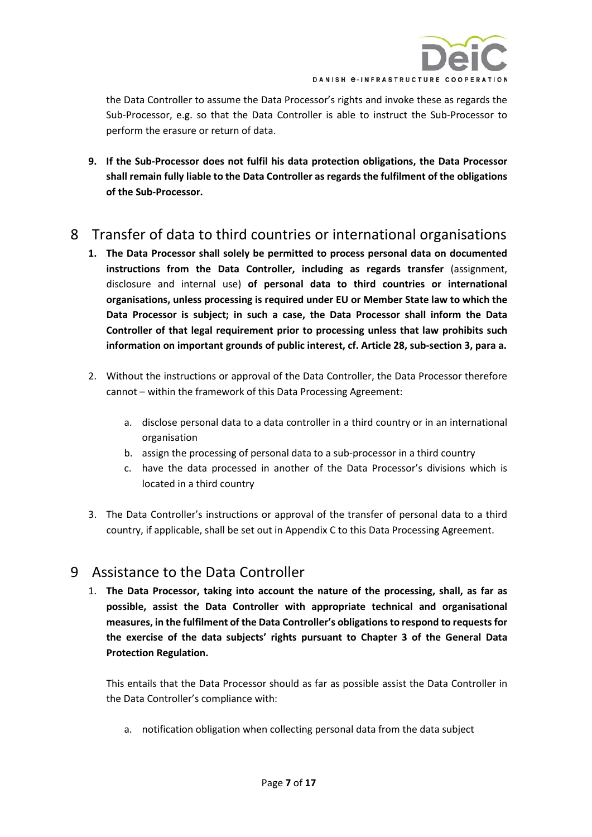

the Data Controller to assume the Data Processor's rights and invoke these as regards the Sub-Processor, e.g. so that the Data Controller is able to instruct the Sub-Processor to perform the erasure or return of data.

**9. If the Sub-Processor does not fulfil his data protection obligations, the Data Processor shall remain fully liable to the Data Controller as regards the fulfilment of the obligations of the Sub-Processor.** 

# <span id="page-6-0"></span>8 Transfer of data to third countries or international organisations

- **1. The Data Processor shall solely be permitted to process personal data on documented instructions from the Data Controller, including as regards transfer** (assignment, disclosure and internal use) **of personal data to third countries or international organisations, unless processing is required under EU or Member State law to which the Data Processor is subject; in such a case, the Data Processor shall inform the Data Controller of that legal requirement prior to processing unless that law prohibits such information on important grounds of public interest, cf. Article 28, sub-section 3, para a.**
- 2. Without the instructions or approval of the Data Controller, the Data Processor therefore cannot – within the framework of this Data Processing Agreement:
	- a. disclose personal data to a data controller in a third country or in an international organisation
	- b. assign the processing of personal data to a sub-processor in a third country
	- c. have the data processed in another of the Data Processor's divisions which is located in a third country
- 3. The Data Controller's instructions or approval of the transfer of personal data to a third country, if applicable, shall be set out in [Appendix C](#page-14-0) to this Data Processing Agreement.

## <span id="page-6-1"></span>9 Assistance to the Data Controller

1. **The Data Processor, taking into account the nature of the processing, shall, as far as possible, assist the Data Controller with appropriate technical and organisational measures, in the fulfilment of the Data Controller's obligations to respond to requests for the exercise of the data subjects' rights pursuant to Chapter 3 of the General Data Protection Regulation.** 

This entails that the Data Processor should as far as possible assist the Data Controller in the Data Controller's compliance with:

a. notification obligation when collecting personal data from the data subject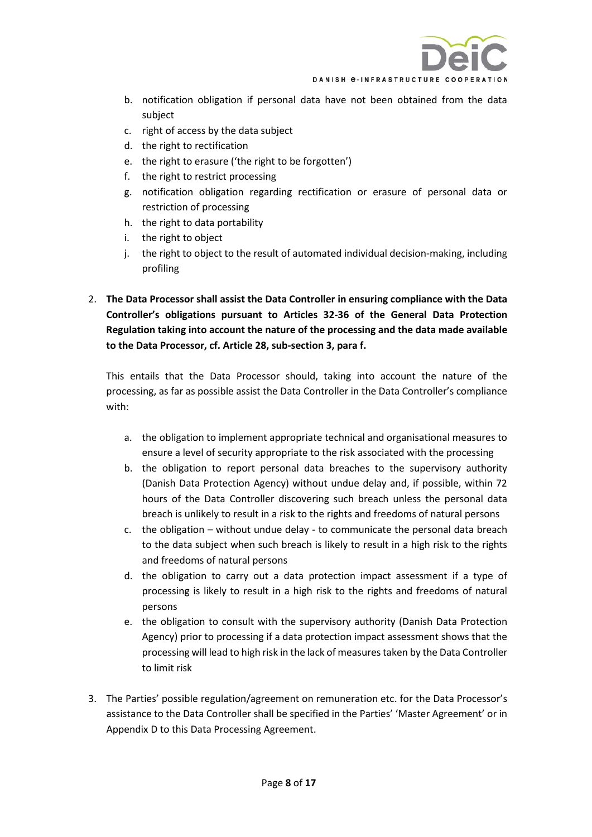

- b. notification obligation if personal data have not been obtained from the data subject
- c. right of access by the data subject
- d. the right to rectification
- e. the right to erasure ('the right to be forgotten')
- f. the right to restrict processing
- g. notification obligation regarding rectification or erasure of personal data or restriction of processing
- h. the right to data portability
- i. the right to object
- j. the right to object to the result of automated individual decision-making, including profiling
- 2. **The Data Processor shall assist the Data Controller in ensuring compliance with the Data Controller's obligations pursuant to Articles 32-36 of the General Data Protection Regulation taking into account the nature of the processing and the data made available to the Data Processor, cf. Article 28, sub-section 3, para f.**

This entails that the Data Processor should, taking into account the nature of the processing, as far as possible assist the Data Controller in the Data Controller's compliance with:

- a. the obligation to implement appropriate technical and organisational measures to ensure a level of security appropriate to the risk associated with the processing
- b. the obligation to report personal data breaches to the supervisory authority (Danish Data Protection Agency) without undue delay and, if possible, within 72 hours of the Data Controller discovering such breach unless the personal data breach is unlikely to result in a risk to the rights and freedoms of natural persons
- c. the obligation without undue delay to communicate the personal data breach to the data subject when such breach is likely to result in a high risk to the rights and freedoms of natural persons
- d. the obligation to carry out a data protection impact assessment if a type of processing is likely to result in a high risk to the rights and freedoms of natural persons
- e. the obligation to consult with the supervisory authority (Danish Data Protection Agency) prior to processing if a data protection impact assessment shows that the processing will lead to high risk in the lack of measures taken by the Data Controller to limit risk
- 3. The Parties' possible regulation/agreement on remuneration etc. for the Data Processor's assistance to the Data Controller shall be specified in the Parties' 'Master Agreement' or in Appendix D to this Data Processing Agreement.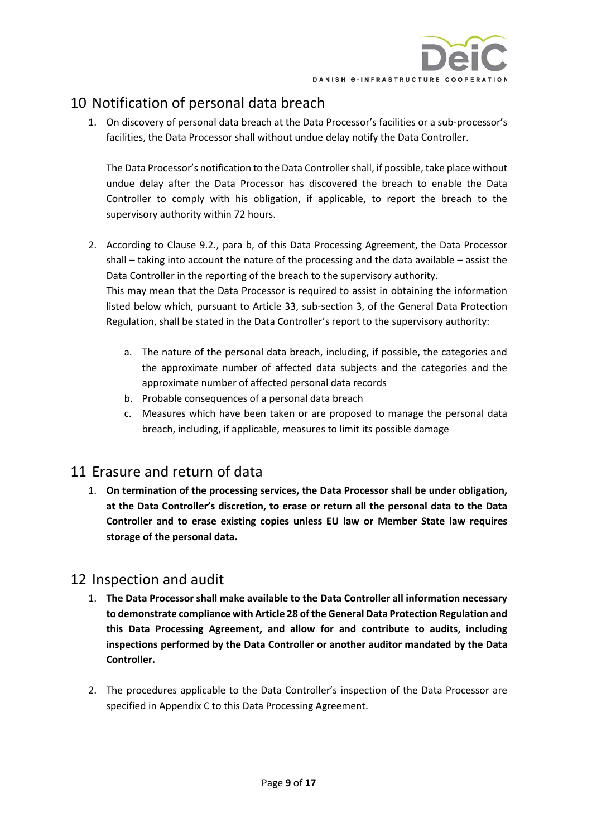

# <span id="page-8-0"></span>10 Notification of personal data breach

1. On discovery of personal data breach at the Data Processor's facilities or a sub-processor's facilities, the Data Processor shall without undue delay notify the Data Controller.

The Data Processor's notification to the Data Controller shall, if possible, take place without undue delay after the Data Processor has discovered the breach to enable the Data Controller to comply with his obligation, if applicable, to report the breach to the supervisory authority within 72 hours.

- 2. According to Clause 9.2., para b, of this Data Processing Agreement, the Data Processor shall – taking into account the nature of the processing and the data available – assist the Data Controller in the reporting of the breach to the supervisory authority. This may mean that the Data Processor is required to assist in obtaining the information listed below which, pursuant to Article 33, sub-section 3, of the General Data Protection Regulation, shall be stated in the Data Controller's report to the supervisory authority:
	- a. The nature of the personal data breach, including, if possible, the categories and the approximate number of affected data subjects and the categories and the approximate number of affected personal data records
	- b. Probable consequences of a personal data breach
	- c. Measures which have been taken or are proposed to manage the personal data breach, including, if applicable, measures to limit its possible damage

## <span id="page-8-1"></span>11 Erasure and return of data

1. **On termination of the processing services, the Data Processor shall be under obligation, at the Data Controller's discretion, to erase or return all the personal data to the Data Controller and to erase existing copies unless EU law or Member State law requires storage of the personal data.**

## <span id="page-8-2"></span>12 Inspection and audit

- 1. **The Data Processor shall make available to the Data Controller all information necessary to demonstrate compliance with Article 28 of the General Data Protection Regulation and this Data Processing Agreement, and allow for and contribute to audits, including inspections performed by the Data Controller or another auditor mandated by the Data Controller.**
- 2. The procedures applicable to the Data Controller's inspection of the Data Processor are specified in [Appendix C](#page-14-0) to this Data Processing Agreement.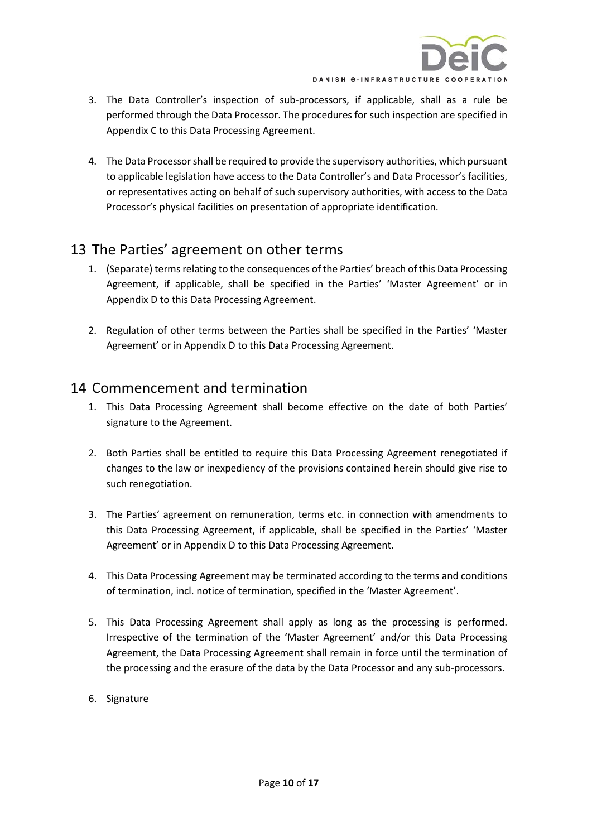

- 3. The Data Controller's inspection of sub-processors, if applicable, shall as a rule be performed through the Data Processor. The procedures for such inspection are specified in [Appendix C](#page-14-0) to this Data Processing Agreement.
- 4. The Data Processor shall be required to provide the supervisory authorities, which pursuant to applicable legislation have access to the Data Controller's and Data Processor's facilities, or representatives acting on behalf of such supervisory authorities, with access to the Data Processor's physical facilities on presentation of appropriate identification.

## <span id="page-9-0"></span>13 The Parties' agreement on other terms

- 1. (Separate) terms relating to the consequences of the Parties' breach of this Data Processing Agreement, if applicable, shall be specified in the Parties' 'Master Agreement' or in [Appendix D](#page-16-0) to this Data Processing Agreement.
- 2. Regulation of other terms between the Parties shall be specified in the Parties' 'Master Agreement' or in [Appendix D](#page-16-0) to this Data Processing Agreement.

## <span id="page-9-1"></span>14 Commencement and termination

- 1. This Data Processing Agreement shall become effective on the date of both Parties' signature to the Agreement.
- 2. Both Parties shall be entitled to require this Data Processing Agreement renegotiated if changes to the law or inexpediency of the provisions contained herein should give rise to such renegotiation.
- 3. The Parties' agreement on remuneration, terms etc. in connection with amendments to this Data Processing Agreement, if applicable, shall be specified in the Parties' 'Master Agreement' or in Appendix D to this Data Processing Agreement.
- 4. This Data Processing Agreement may be terminated according to the terms and conditions of termination, incl. notice of termination, specified in the 'Master Agreement'.
- 5. This Data Processing Agreement shall apply as long as the processing is performed. Irrespective of the termination of the 'Master Agreement' and/or this Data Processing Agreement, the Data Processing Agreement shall remain in force until the termination of the processing and the erasure of the data by the Data Processor and any sub-processors.
- 6. Signature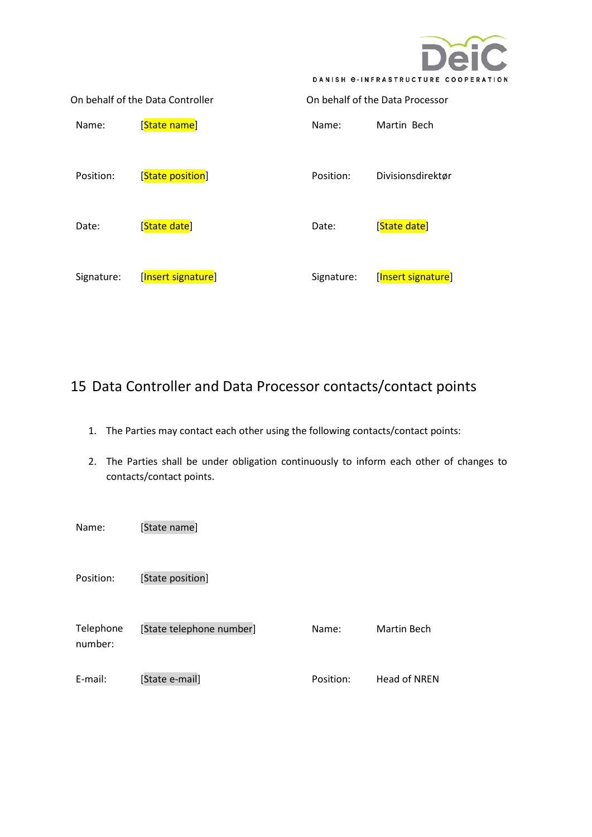

|            | On behalf of the Data Controller | On behalf of the Data Processor |                    |  |
|------------|----------------------------------|---------------------------------|--------------------|--|
| Name:      | [State name]                     | Name:                           | Martin Bech        |  |
| Position:  | [State position]                 | Position:                       | Divisionsdirektør  |  |
| Date:      | [State date]                     | Date:                           | [State date]       |  |
| Signature: | [Insert signature]               | Signature:                      | [Insert signature] |  |

# <span id="page-10-0"></span>15 Data Controller and Data Processor contacts/contact points

- 1. The Parties may contact each other using the following contacts/contact points:
- 2. The Parties shall be under obligation continuously to inform each other of changes to contacts/contact points.

Name: [State name] Position: [State position] Telephone number: [State telephone number] E-mail: [State e-mail] Name: Martin Bech Position: Head of NREN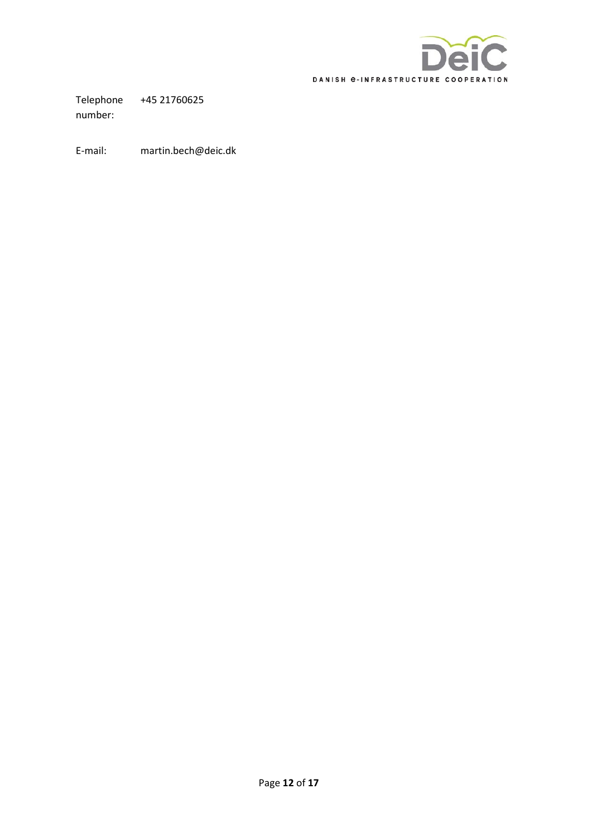

Telephone number: +45 21760625

E-mail: martin.bech@deic.dk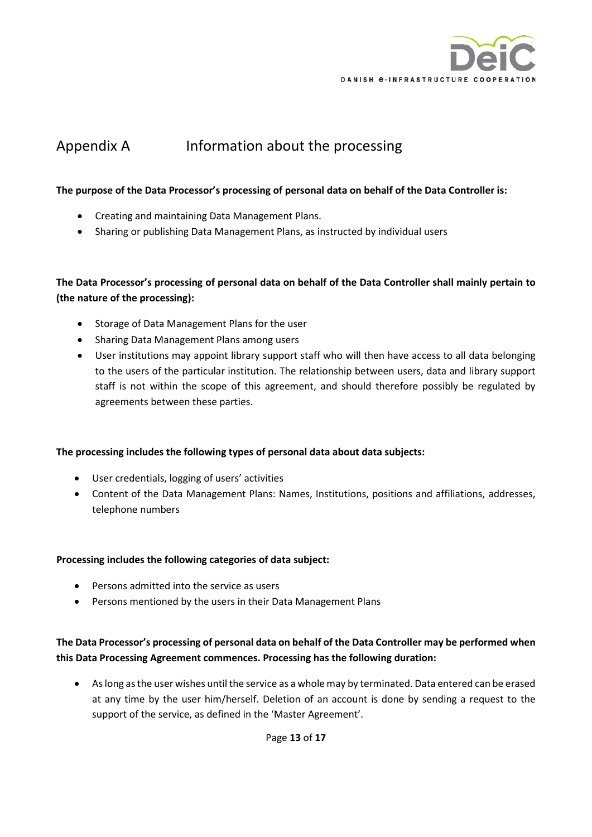

# <span id="page-12-0"></span>Appendix A Information about the processing

#### **The purpose of the Data Processor's processing of personal data on behalf of the Data Controller is:**

- Creating and maintaining Data Management Plans.
- Sharing or publishing Data Management Plans, as instructed by individual users

#### **The Data Processor's processing of personal data on behalf of the Data Controller shall mainly pertain to (the nature of the processing):**

- Storage of Data Management Plans for the user
- Sharing Data Management Plans among users
- User institutions may appoint library support staff who will then have access to all data belonging to the users of the particular institution. The relationship between users, data and library support staff is not within the scope of this agreement, and should therefore possibly be regulated by agreements between these parties.

#### **The processing includes the following types of personal data about data subjects:**

- User credentials, logging of users' activities
- Content of the Data Management Plans: Names, Institutions, positions and affiliations, addresses, telephone numbers

#### **Processing includes the following categories of data subject:**

- Persons admitted into the service as users
- Persons mentioned by the users in their Data Management Plans

#### **The Data Processor's processing of personal data on behalf of the Data Controller may be performed when this Data Processing Agreement commences. Processing has the following duration:**

• As long as the user wishes until the service as a whole may by terminated. Data entered can be erased at any time by the user him/herself. Deletion of an account is done by sending a request to the support of the service, as defined in the 'Master Agreement'.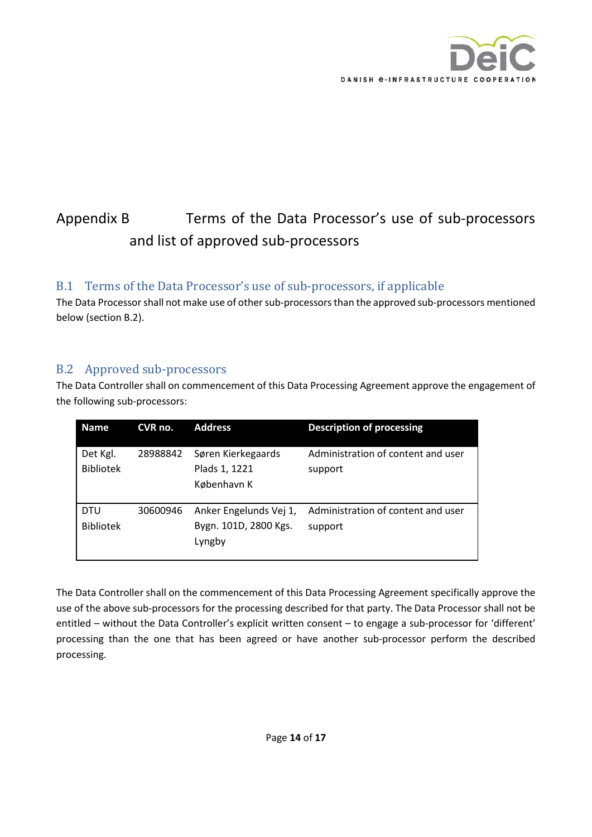

# <span id="page-13-0"></span>Appendix B Terms of the Data Processor's use of sub-processors and list of approved sub-processors

## <span id="page-13-1"></span>B.1 Terms of the Data Processor's use of sub-processors, if applicable

The Data Processor shall not make use of other sub-processorsthan the approved sub-processors mentioned below (section B.2).

## <span id="page-13-2"></span>B.2 Approved sub-processors

The Data Controller shall on commencement of this Data Processing Agreement approve the engagement of the following sub-processors:

| <b>Name</b>                    | CVR no.  | <b>Address</b>                                            | <b>Description of processing</b>              |
|--------------------------------|----------|-----------------------------------------------------------|-----------------------------------------------|
| Det Kgl.<br><b>Bibliotek</b>   | 28988842 | Søren Kierkegaards<br>Plads 1, 1221<br>København K        | Administration of content and user<br>support |
| <b>DTU</b><br><b>Bibliotek</b> | 30600946 | Anker Engelunds Vej 1,<br>Bygn. 101D, 2800 Kgs.<br>Lyngby | Administration of content and user<br>support |

The Data Controller shall on the commencement of this Data Processing Agreement specifically approve the use of the above sub-processors for the processing described for that party. The Data Processor shall not be entitled – without the Data Controller's explicit written consent – to engage a sub-processor for 'different' processing than the one that has been agreed or have another sub-processor perform the described processing.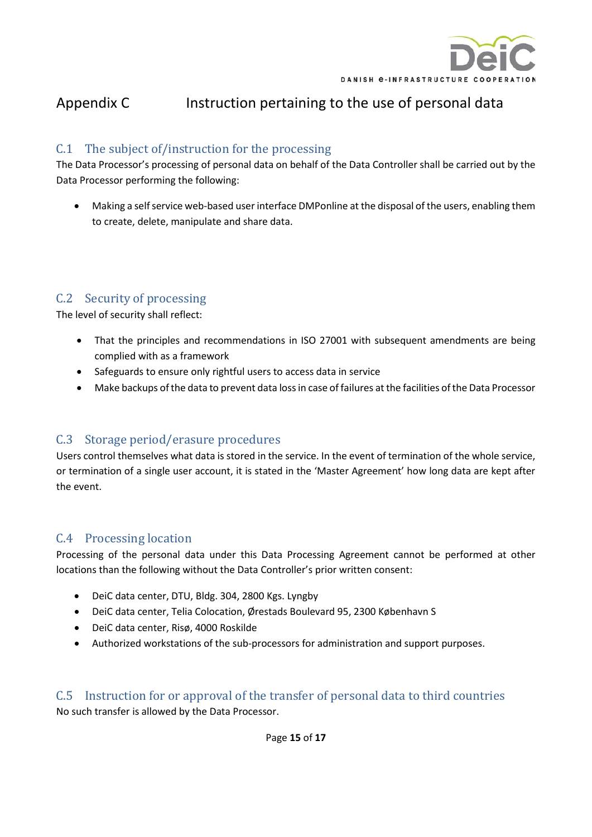

# <span id="page-14-0"></span>Appendix C Instruction pertaining to the use of personal data

## <span id="page-14-1"></span>C.1 The subject of/instruction for the processing

The Data Processor's processing of personal data on behalf of the Data Controller shall be carried out by the Data Processor performing the following:

• Making a self service web-based user interface DMPonline at the disposal of the users, enabling them to create, delete, manipulate and share data.

## <span id="page-14-2"></span>C.2 Security of processing

The level of security shall reflect:

- That the principles and recommendations in ISO 27001 with subsequent amendments are being complied with as a framework
- Safeguards to ensure only rightful users to access data in service
- Make backups of the data to prevent data loss in case of failures at the facilities of the Data Processor

### <span id="page-14-3"></span>C.3 Storage period/erasure procedures

Users control themselves what data is stored in the service. In the event of termination of the whole service, or termination of a single user account, it is stated in the 'Master Agreement' how long data are kept after the event.

### <span id="page-14-4"></span>C.4 Processing location

Processing of the personal data under this Data Processing Agreement cannot be performed at other locations than the following without the Data Controller's prior written consent:

- DeiC data center, DTU, Bldg. 304, 2800 Kgs. Lyngby
- DeiC data center, Telia Colocation, Ørestads Boulevard 95, 2300 København S
- DeiC data center, Risø, 4000 Roskilde
- Authorized workstations of the sub-processors for administration and support purposes.

### <span id="page-14-5"></span>C.5 Instruction for or approval of the transfer of personal data to third countries No such transfer is allowed by the Data Processor.

Page **15** of **17**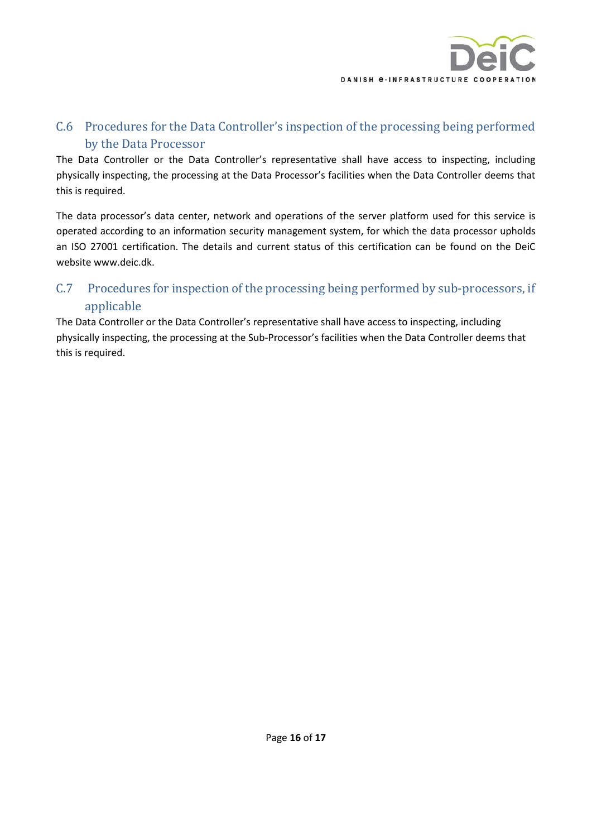

## <span id="page-15-0"></span>C.6 Procedures for the Data Controller's inspection of the processing being performed by the Data Processor

The Data Controller or the Data Controller's representative shall have access to inspecting, including physically inspecting, the processing at the Data Processor's facilities when the Data Controller deems that this is required.

The data processor's data center, network and operations of the server platform used for this service is operated according to an information security management system, for which the data processor upholds an ISO 27001 certification. The details and current status of this certification can be found on the DeiC website www.deic.dk.

## <span id="page-15-1"></span>C.7 Procedures for inspection of the processing being performed by sub-processors, if applicable

The Data Controller or the Data Controller's representative shall have access to inspecting, including physically inspecting, the processing at the Sub-Processor's facilities when the Data Controller deems that this is required.